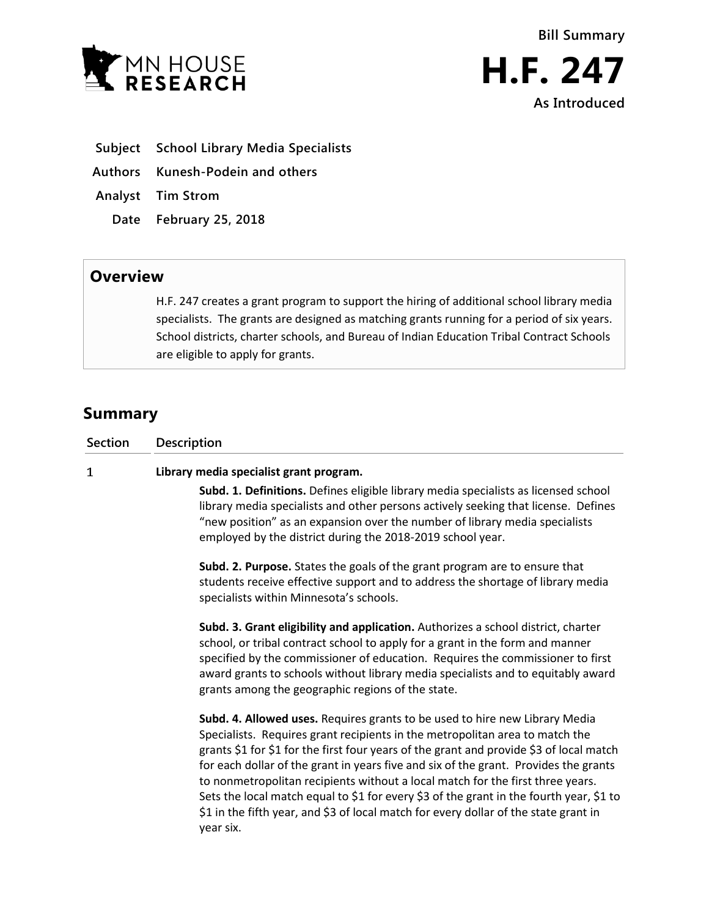



- **Subject School Library Media Specialists**
- **Authors Kunesh-Podein and others**
- **Analyst Tim Strom**
	- **Date February 25, 2018**

## **Overview**

H.F. 247 creates a grant program to support the hiring of additional school library media specialists. The grants are designed as matching grants running for a period of six years. School districts, charter schools, and Bureau of Indian Education Tribal Contract Schools are eligible to apply for grants.

# **Summary**

 $\mathbf{1}$ 

| Section Description |
|---------------------|
|                     |

### **Library media specialist grant program.**

**Subd. 1. Definitions.** Defines eligible library media specialists as licensed school library media specialists and other persons actively seeking that license. Defines "new position" as an expansion over the number of library media specialists employed by the district during the 2018-2019 school year.

**Subd. 2. Purpose.** States the goals of the grant program are to ensure that students receive effective support and to address the shortage of library media specialists within Minnesota's schools.

**Subd. 3. Grant eligibility and application.** Authorizes a school district, charter school, or tribal contract school to apply for a grant in the form and manner specified by the commissioner of education. Requires the commissioner to first award grants to schools without library media specialists and to equitably award grants among the geographic regions of the state.

**Subd. 4. Allowed uses.** Requires grants to be used to hire new Library Media Specialists. Requires grant recipients in the metropolitan area to match the grants \$1 for \$1 for the first four years of the grant and provide \$3 of local match for each dollar of the grant in years five and six of the grant. Provides the grants to nonmetropolitan recipients without a local match for the first three years. Sets the local match equal to \$1 for every \$3 of the grant in the fourth year, \$1 to \$1 in the fifth year, and \$3 of local match for every dollar of the state grant in year six.